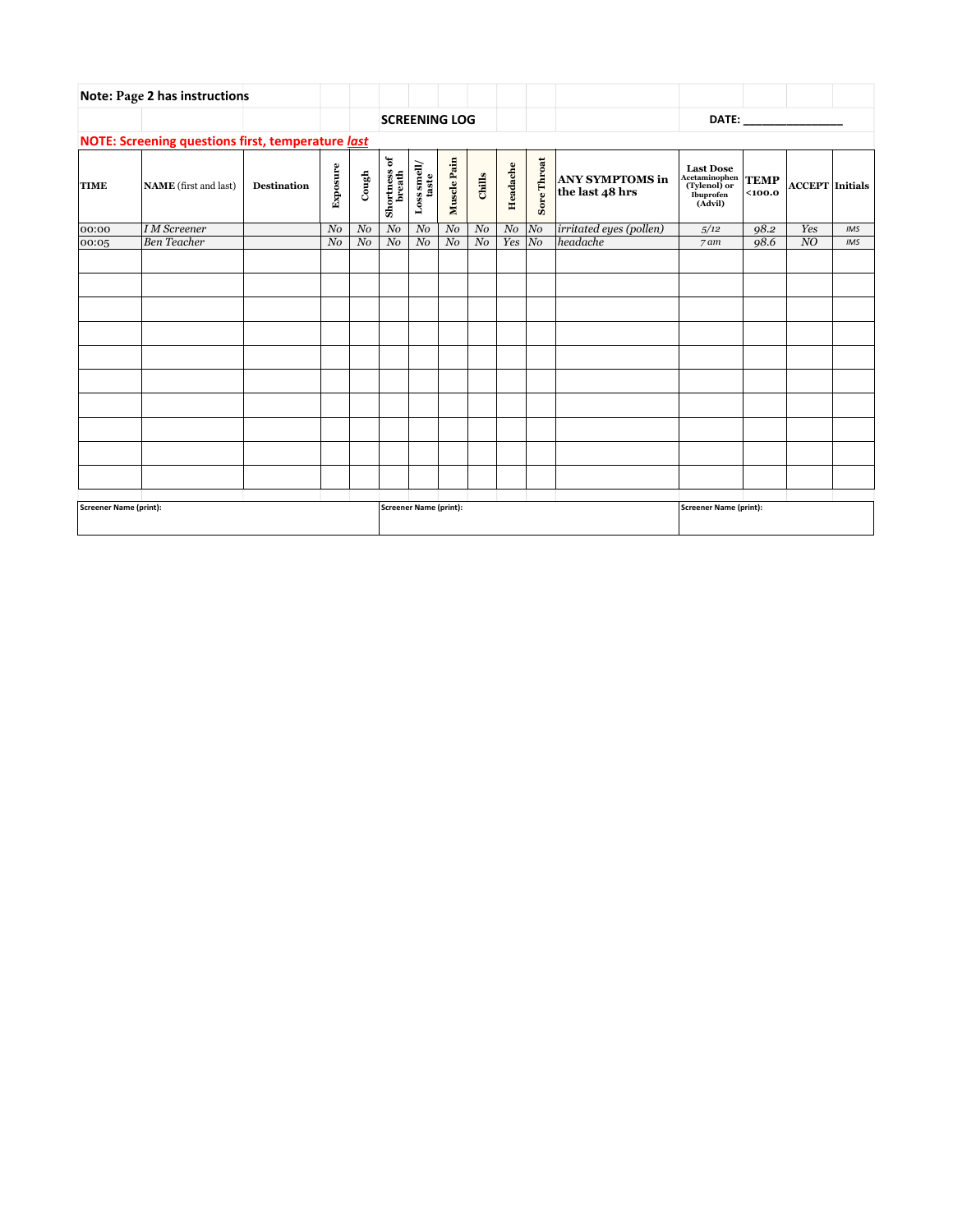| <b>Note: Page 2 has instructions</b>              |                              |                    |                      |                        |                        |                             |                |                |           |             |                                           |                                                                                                                                                                                                                                |                        |                        |     |
|---------------------------------------------------|------------------------------|--------------------|----------------------|------------------------|------------------------|-----------------------------|----------------|----------------|-----------|-------------|-------------------------------------------|--------------------------------------------------------------------------------------------------------------------------------------------------------------------------------------------------------------------------------|------------------------|------------------------|-----|
|                                                   |                              |                    | <b>SCREENING LOG</b> |                        |                        |                             |                |                |           |             |                                           | DATE: the contract of the contract of the contract of the contract of the contract of the contract of the contract of the contract of the contract of the contract of the contract of the contract of the contract of the cont |                        |                        |     |
| NOTE: Screening questions first, temperature last |                              |                    |                      |                        |                        |                             |                |                |           |             |                                           |                                                                                                                                                                                                                                |                        |                        |     |
| <b>TIME</b>                                       | <b>NAME</b> (first and last) | <b>Destination</b> | Exposure             | $_{\rm Cough}$         | Shortness of<br>breath | ${\rm Loss\,small /}$ taste | Muscle Pain    | Chills         | Headache  | Sore Throat | <b>ANY SYMPTOMS in</b><br>the last 48 hrs | <b>Last Dose</b><br>Acetaminophen<br>(Tylenol) or<br><b>Ibuprofen</b><br>(Advil)                                                                                                                                               | <b>TEMP</b><br>$100.0$ | <b>ACCEPT</b> Initials |     |
| 00:00                                             | I M Screener                 |                    | $N$ o                | $N$ o                  | N o                    | $N$ o                       | $N$ o          | N o            | $No$ $No$ |             | <i>irritated eyes (pollen)</i>            | 5/12                                                                                                                                                                                                                           | 98.2                   | Yes                    | IMS |
| 00:05                                             | <b>Ben</b> Teacher           |                    | N <sub>0</sub>       | N <sub>0</sub>         | N <sub>0</sub>         | N <sub>0</sub>              | N <sub>0</sub> | N <sub>0</sub> | Yes       | $ N_O $     | headache                                  | $7$ am                                                                                                                                                                                                                         | 98.6                   | NO                     | IMS |
|                                                   |                              |                    |                      |                        |                        |                             |                |                |           |             |                                           |                                                                                                                                                                                                                                |                        |                        |     |
|                                                   |                              |                    |                      |                        |                        |                             |                |                |           |             |                                           |                                                                                                                                                                                                                                |                        |                        |     |
|                                                   |                              |                    |                      |                        |                        |                             |                |                |           |             |                                           |                                                                                                                                                                                                                                |                        |                        |     |
| Screener Name (print):                            |                              |                    |                      | Screener Name (print): |                        |                             |                |                |           |             | Screener Name (print):                    |                                                                                                                                                                                                                                |                        |                        |     |